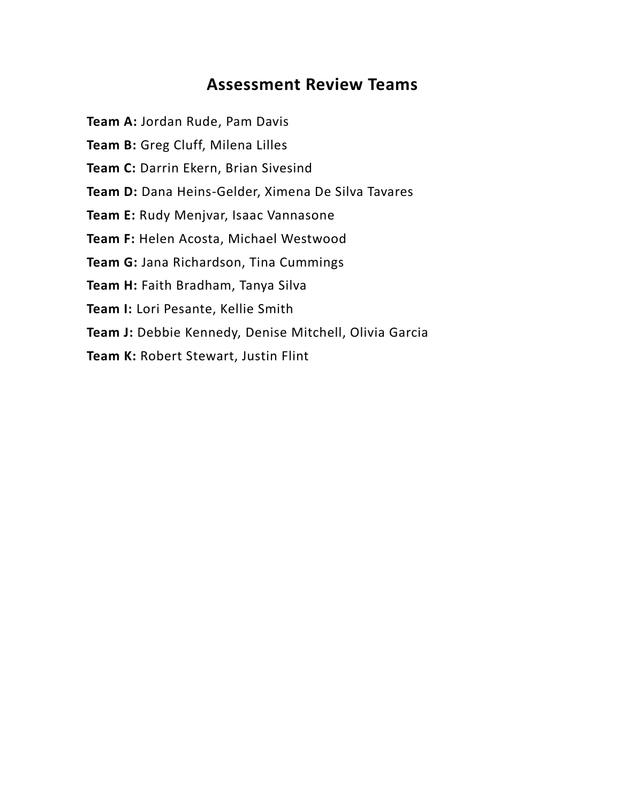## **Assessment Review Teams**

**Team A:** Jordan Rude, Pam Davis

Team B: Greg Cluff, Milena Lilles

**Team C:** Darrin Ekern, Brian Sivesind

**Team D:** Dana Heins-Gelder, Ximena De Silva Tavares

**Team E:** Rudy Menjvar, Isaac Vannasone

**Team F:** Helen Acosta, Michael Westwood

**Team G:** Jana Richardson, Tina Cummings

**Team H:** Faith Bradham, Tanya Silva

**Team I:** Lori Pesante, Kellie Smith

**Team J:** Debbie Kennedy, Denise Mitchell, Olivia Garcia

**Team K:** Robert Stewart, Justin Flint